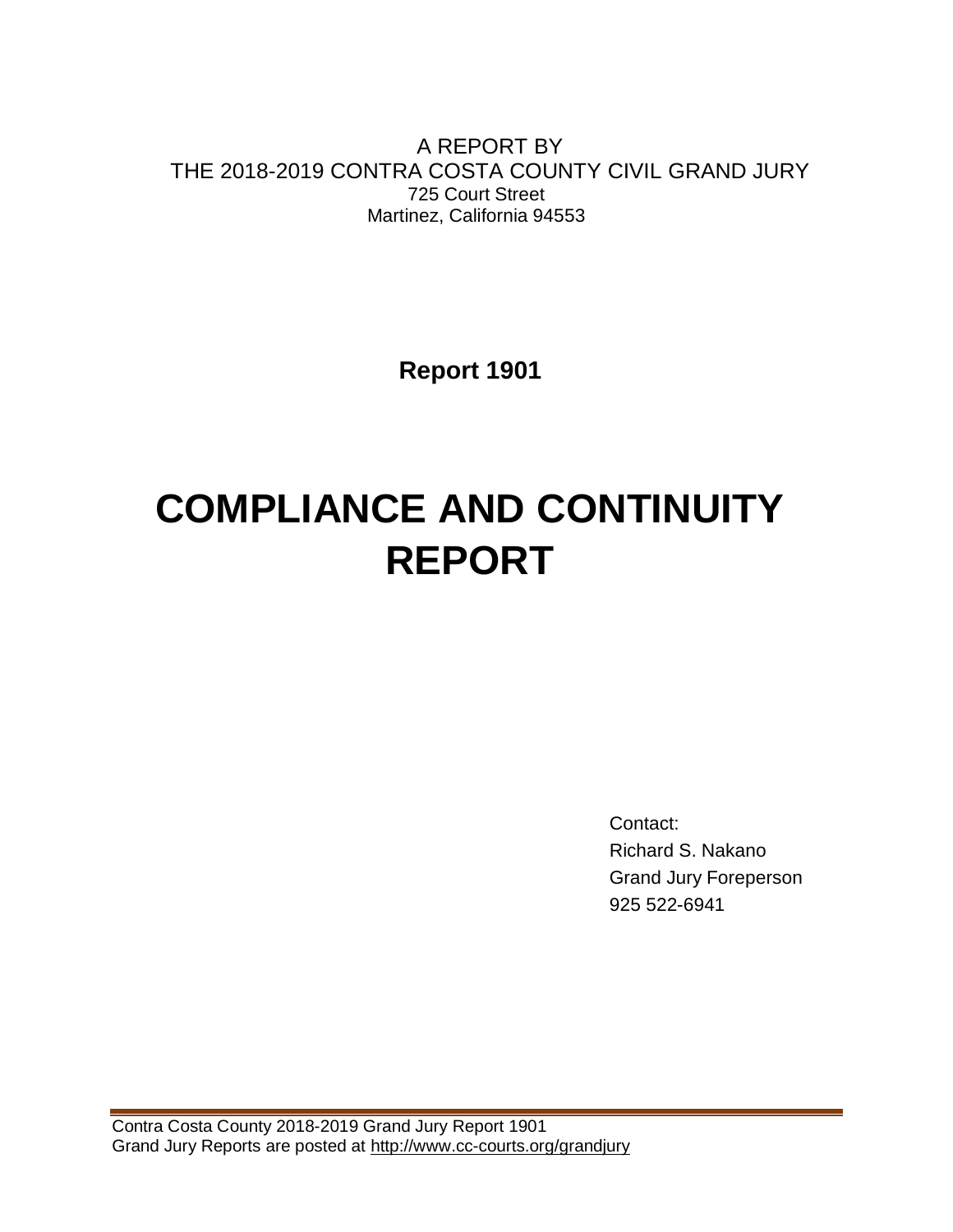A REPORT BY THE 2018-2019 CONTRA COSTA COUNTY CIVIL GRAND JURY 725 Court Street Martinez, California 94553

**Report 1901**

# **COMPLIANCE AND CONTINUITY REPORT**

Contact: Richard S. Nakano Grand Jury Foreperson 925 522-6941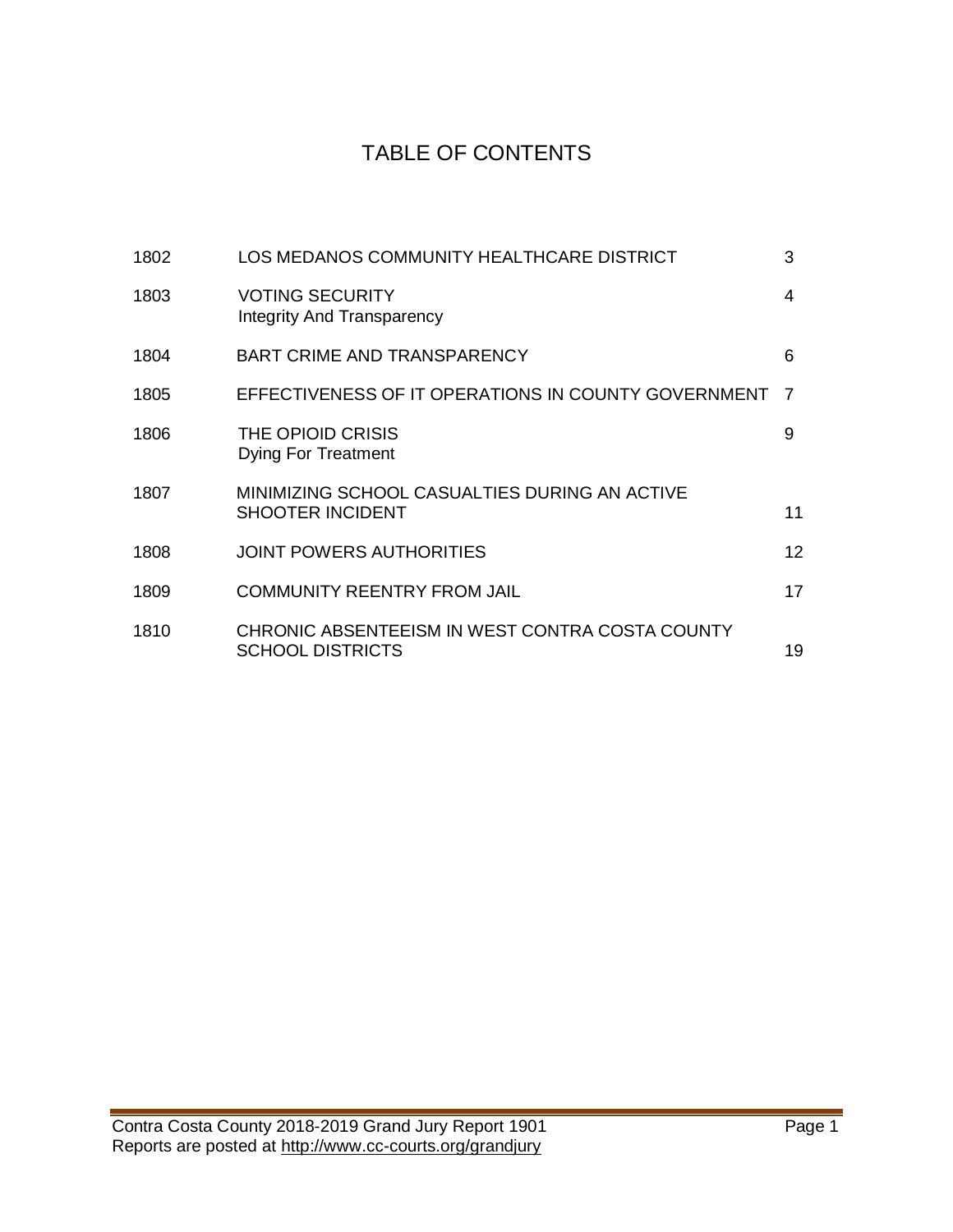# TABLE OF CONTENTS

| 1802 | LOS MEDANOS COMMUNITY HEALTHCARE DISTRICT                                  | 3  |
|------|----------------------------------------------------------------------------|----|
| 1803 | <b>VOTING SECURITY</b><br>Integrity And Transparency                       | 4  |
| 1804 | <b>BART CRIME AND TRANSPARENCY</b>                                         | 6  |
| 1805 | EFFECTIVENESS OF IT OPERATIONS IN COUNTY GOVERNMENT                        | -7 |
| 1806 | THE OPIOID CRISIS<br><b>Dying For Treatment</b>                            | 9  |
| 1807 | MINIMIZING SCHOOL CASUALTIES DURING AN ACTIVE<br><b>SHOOTER INCIDENT</b>   | 11 |
| 1808 | <b>JOINT POWERS AUTHORITIES</b>                                            | 12 |
| 1809 | <b>COMMUNITY REENTRY FROM JAIL</b>                                         | 17 |
| 1810 | CHRONIC ABSENTEEISM IN WEST CONTRA COSTA COUNTY<br><b>SCHOOL DISTRICTS</b> | 19 |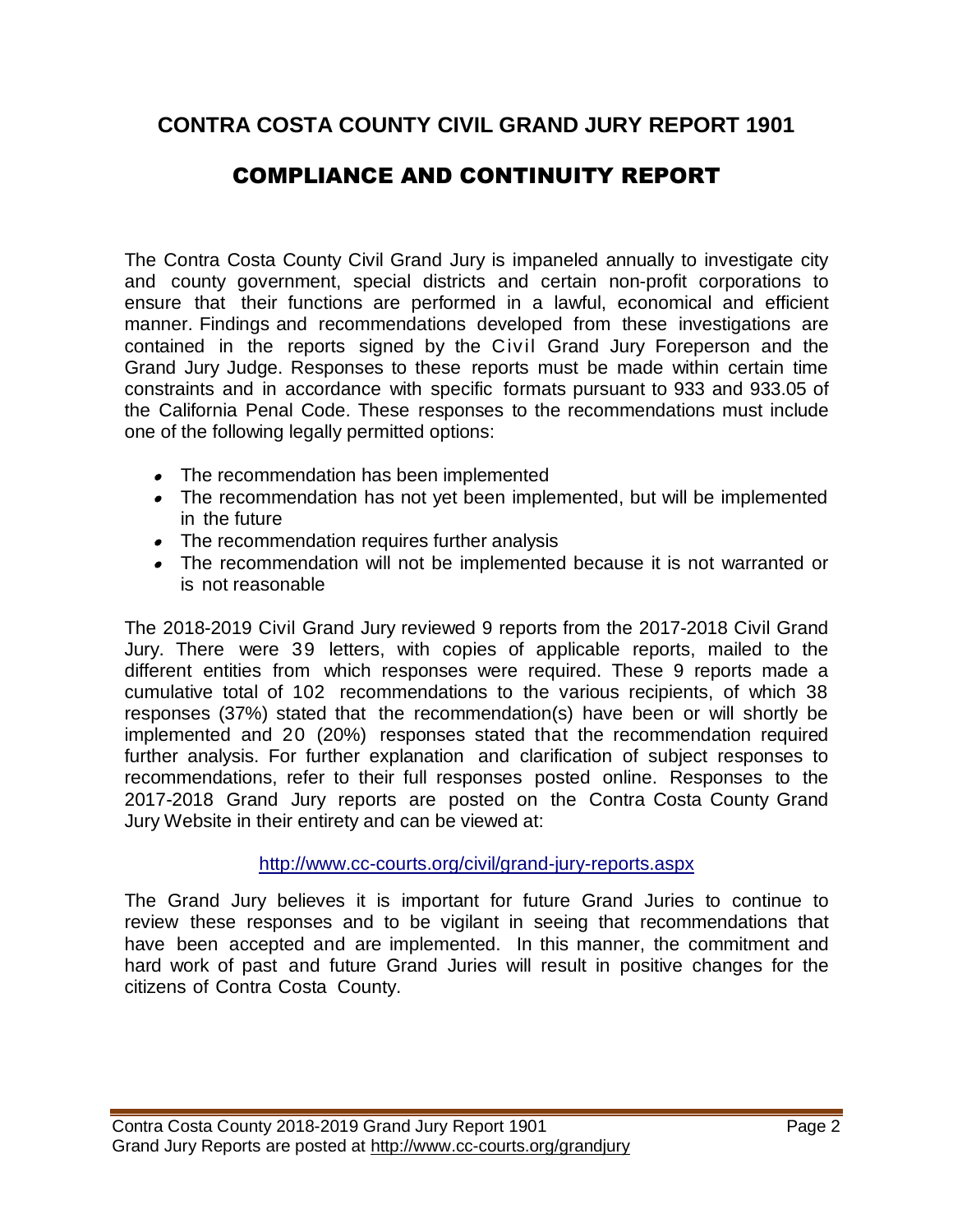# **CONTRA COSTA COUNTY CIVIL GRAND JURY REPORT 1901**

# COMPLIANCE AND CONTINUITY REPORT

The Contra Costa County Civil Grand Jury is impaneled annually to investigate city and county government, special districts and certain non-profit corporations to ensure that their functions are performed in a lawful, economical and efficient manner. Findings and recommendations developed from these investigations are contained in the reports signed by the Civil Grand Jury Foreperson and the Grand Jury Judge. Responses to these reports must be made within certain time constraints and in accordance with specific formats pursuant to 933 and 933.05 of the California Penal Code. These responses to the recommendations must include one of the following legally permitted options:

- The recommendation has been implemented
- The recommendation has not yet been implemented, but will be implemented in the future
- The recommendation requires further analysis
- The recommendation will not be implemented because it is not warranted or is not reasonable

The 2018-2019 Civil Grand Jury reviewed 9 reports from the 2017-2018 Civil Grand Jury. There were 39 letters, with copies of applicable reports, mailed to the different entities from which responses were required. These 9 reports made a cumulative total of 102 recommendations to the various recipients, of which 38 responses (37%) stated that the recommendation(s) have been or will shortly be implemented and 20 (20%) responses stated that the recommendation required further analysis. For further explanation and clarification of subject responses to recommendations, refer to their full responses posted online. Responses to the 2017-2018 Grand Jury reports are posted on the Contra Costa County Grand Jury Website in their entirety and can be viewed at:

## <http://www.cc-courts.org/civil/grand-jury-reports.aspx>

The Grand Jury believes it is important for future Grand Juries to continue to review these responses and to be vigilant in seeing that recommendations that have been accepted and are implemented. In this manner, the commitment and hard work of past and future Grand Juries will result in positive changes for the citizens of Contra Costa County.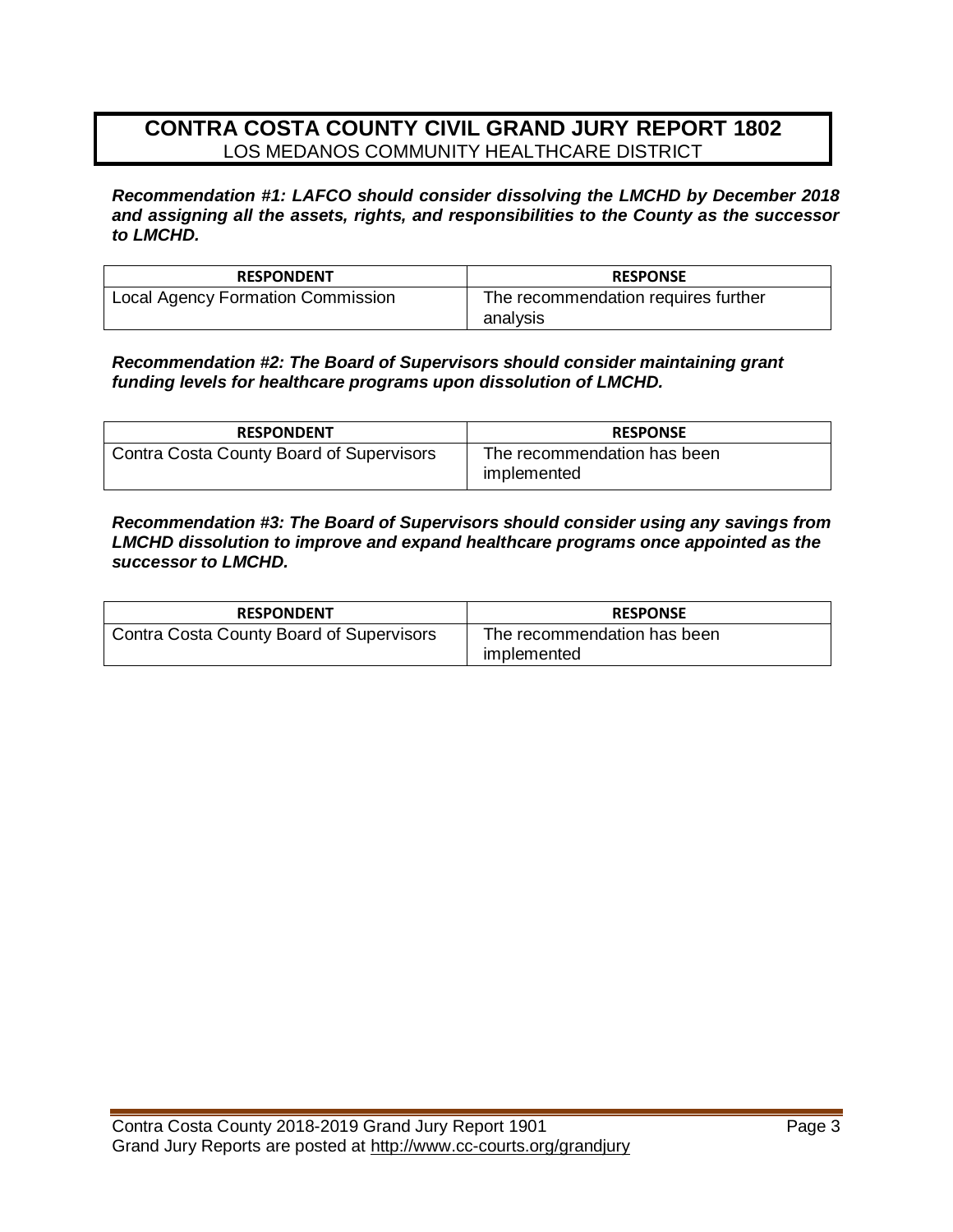# **CONTRA COSTA COUNTY CIVIL GRAND JURY REPORT 1802** LOS MEDANOS COMMUNITY HEALTHCARE DISTRICT

*Recommendation #1: LAFCO should consider dissolving the LMCHD by December 2018 and assigning all the assets, rights, and responsibilities to the County as the successor to LMCHD.* 

| <b>RESPONDENT</b>                 | <b>RESPONSE</b>                                 |
|-----------------------------------|-------------------------------------------------|
| Local Agency Formation Commission | The recommendation requires further<br>analysis |

*Recommendation #2: The Board of Supervisors should consider maintaining grant funding levels for healthcare programs upon dissolution of LMCHD.* 

| <b>RESPONDENT</b>                               | <b>RESPONSE</b>                            |
|-------------------------------------------------|--------------------------------------------|
| <b>Contra Costa County Board of Supervisors</b> | The recommendation has been<br>implemented |

*Recommendation #3: The Board of Supervisors should consider using any savings from LMCHD dissolution to improve and expand healthcare programs once appointed as the successor to LMCHD.* 

| <b>RESPONDENT</b>                        | <b>RESPONSE</b>                            |
|------------------------------------------|--------------------------------------------|
| Contra Costa County Board of Supervisors | The recommendation has been<br>implemented |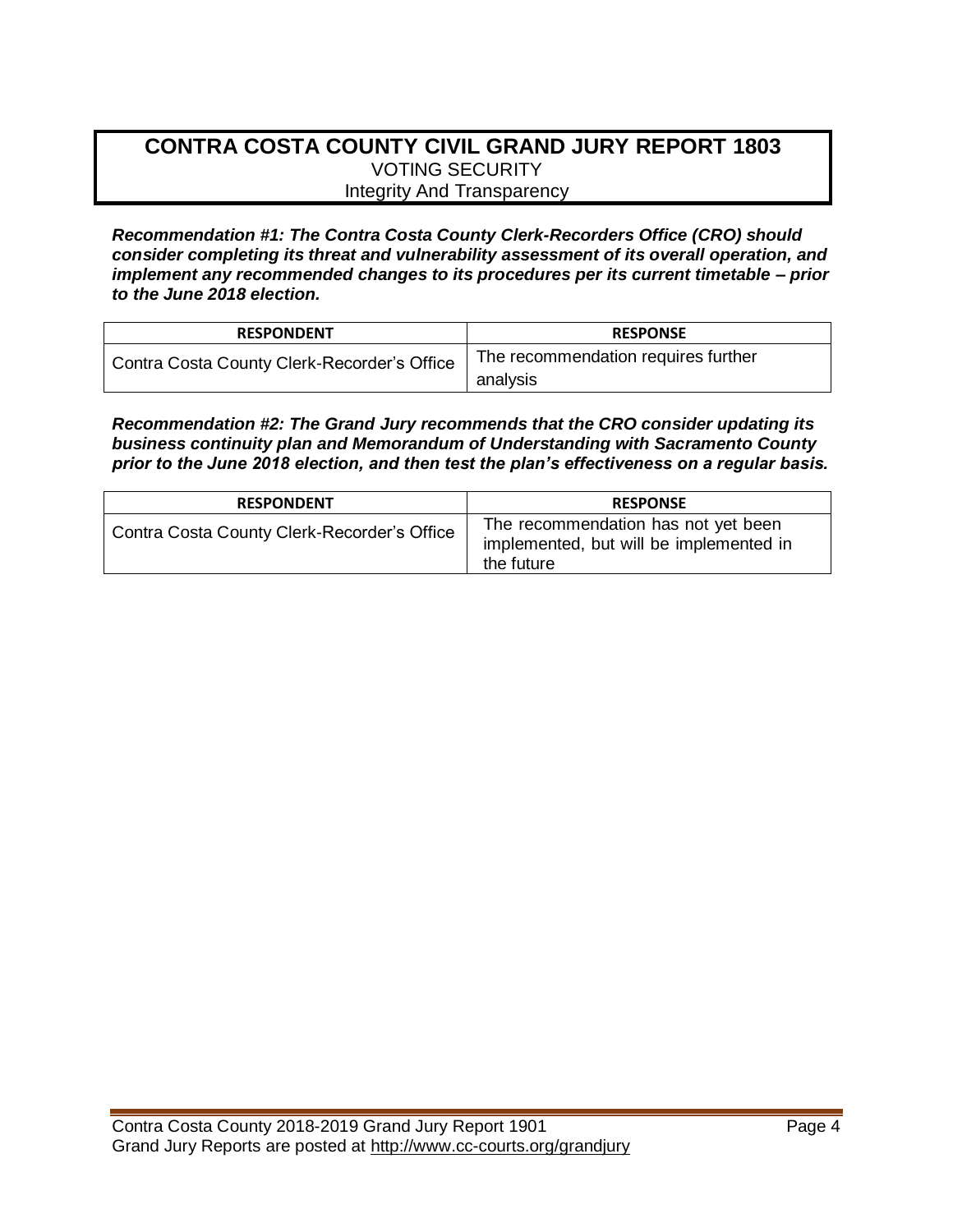## **CONTRA COSTA COUNTY CIVIL GRAND JURY REPORT 1803** VOTING SECURITY Integrity And Transparency

*Recommendation #1: The Contra Costa County Clerk-Recorders Office (CRO) should consider completing its threat and vulnerability assessment of its overall operation, and implement any recommended changes to its procedures per its current timetable – prior to the June 2018 election.* 

| <b>RESPONDENT</b>                           | <b>RESPONSE</b>                     |
|---------------------------------------------|-------------------------------------|
| Contra Costa County Clerk-Recorder's Office | The recommendation requires further |
|                                             | analysis                            |

*Recommendation #2: The Grand Jury recommends that the CRO consider updating its business continuity plan and Memorandum of Understanding with Sacramento County prior to the June 2018 election, and then test the plan's effectiveness on a regular basis.* 

| <b>RESPONDENT</b>                           | <b>RESPONSE</b>                                                                              |
|---------------------------------------------|----------------------------------------------------------------------------------------------|
| Contra Costa County Clerk-Recorder's Office | The recommendation has not yet been<br>implemented, but will be implemented in<br>the future |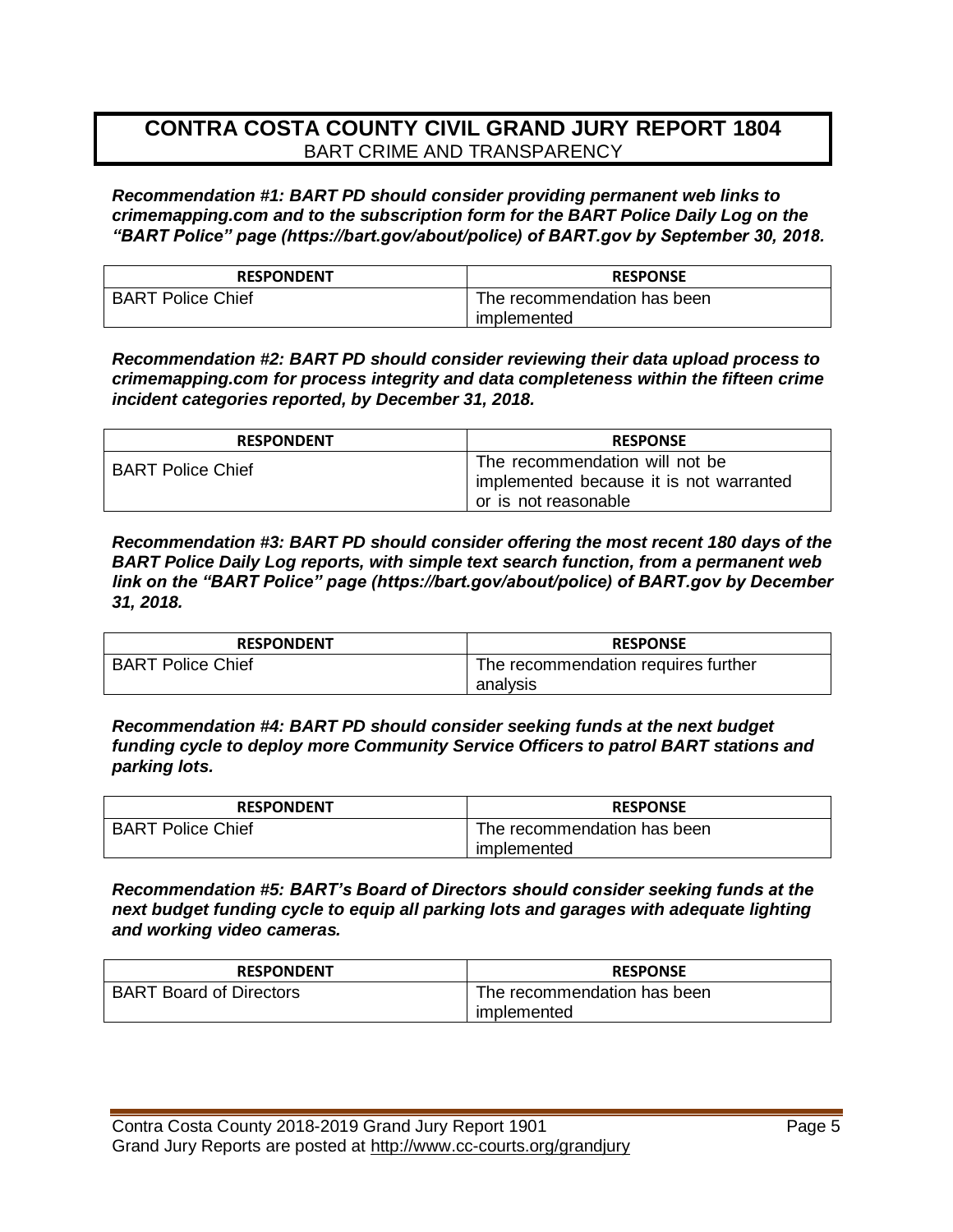# **CONTRA COSTA COUNTY CIVIL GRAND JURY REPORT 1804** BART CRIME AND TRANSPARENCY

*Recommendation #1: BART PD should consider providing permanent web links to crimemapping.com and to the subscription form for the BART Police Daily Log on the "BART Police" page (https://bart.gov/about/police) of BART.gov by September 30, 2018.* 

| <b>RESPONDENT</b>        | <b>RESPONSE</b>             |
|--------------------------|-----------------------------|
| <b>BART Police Chief</b> | The recommendation has been |
|                          | implemented                 |

*Recommendation #2: BART PD should consider reviewing their data upload process to crimemapping.com for process integrity and data completeness within the fifteen crime incident categories reported, by December 31, 2018.* 

| <b>RESPONDENT</b>        | <b>RESPONSE</b>                                                                                   |
|--------------------------|---------------------------------------------------------------------------------------------------|
| <b>BART Police Chief</b> | The recommendation will not be<br>implemented because it is not warranted<br>or is not reasonable |

*Recommendation #3: BART PD should consider offering the most recent 180 days of the BART Police Daily Log reports, with simple text search function, from a permanent web link on the "BART Police" page (https://bart.gov/about/police) of BART.gov by December 31, 2018.* 

| <b>RESPONDENT</b>        | <b>RESPONSE</b>                     |
|--------------------------|-------------------------------------|
| <b>BART Police Chief</b> | The recommendation requires further |
|                          | analvsis                            |

*Recommendation #4: BART PD should consider seeking funds at the next budget funding cycle to deploy more Community Service Officers to patrol BART stations and parking lots.* 

| <b>RESPONDENT</b>        | <b>RESPONSE</b>             |
|--------------------------|-----------------------------|
| <b>BART Police Chief</b> | The recommendation has been |
|                          | implemented                 |

*Recommendation #5: BART's Board of Directors should consider seeking funds at the next budget funding cycle to equip all parking lots and garages with adequate lighting and working video cameras.* 

| <b>RESPONDENT</b>              | <b>RESPONSE</b>             |
|--------------------------------|-----------------------------|
| <b>BART Board of Directors</b> | The recommendation has been |
|                                | implemented                 |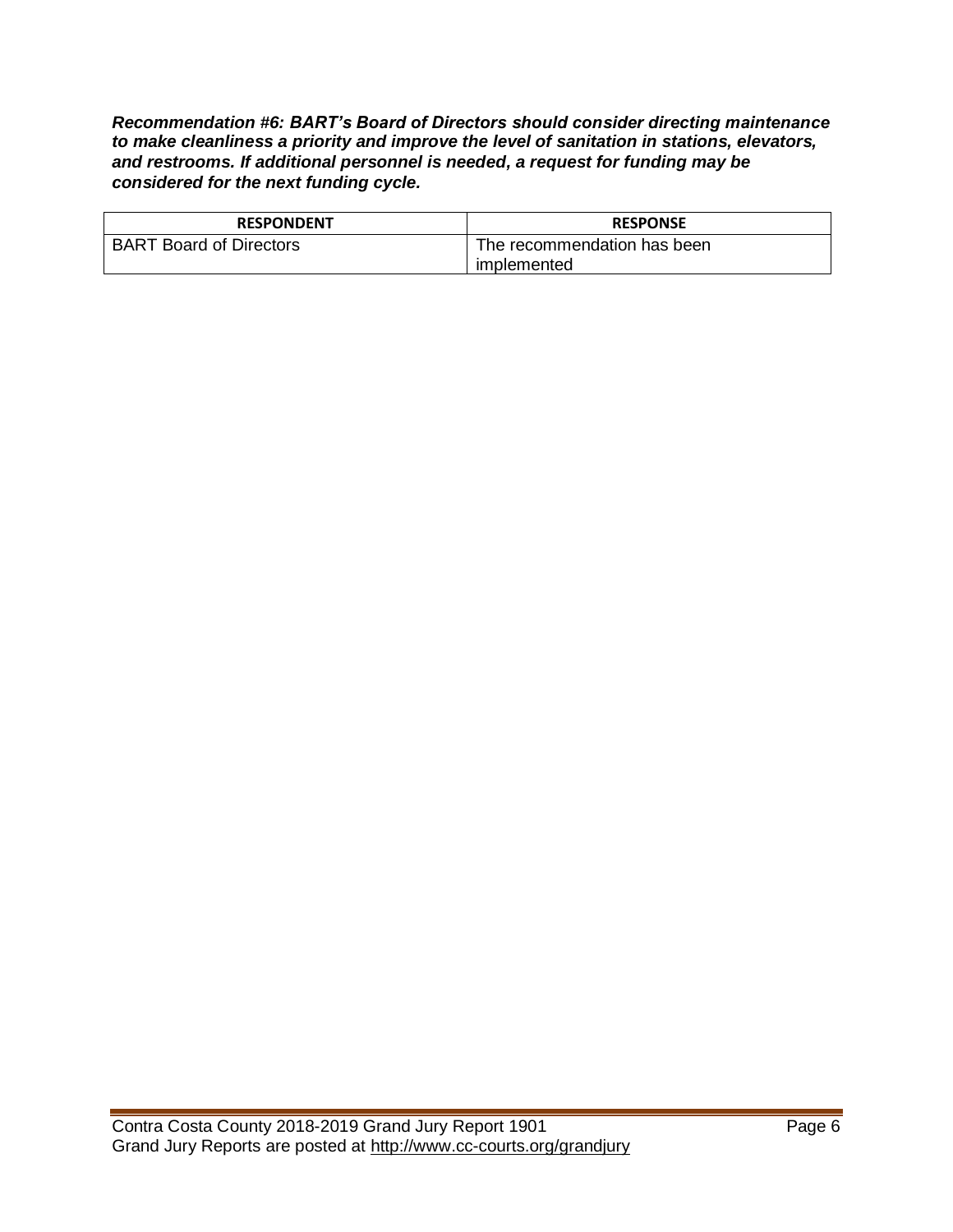*Recommendation #6: BART's Board of Directors should consider directing maintenance to make cleanliness a priority and improve the level of sanitation in stations, elevators, and restrooms. If additional personnel is needed, a request for funding may be considered for the next funding cycle.* 

| <b>RESPONDENT</b>              | <b>RESPONSE</b>             |
|--------------------------------|-----------------------------|
| <b>BART Board of Directors</b> | The recommendation has been |
|                                | implemented                 |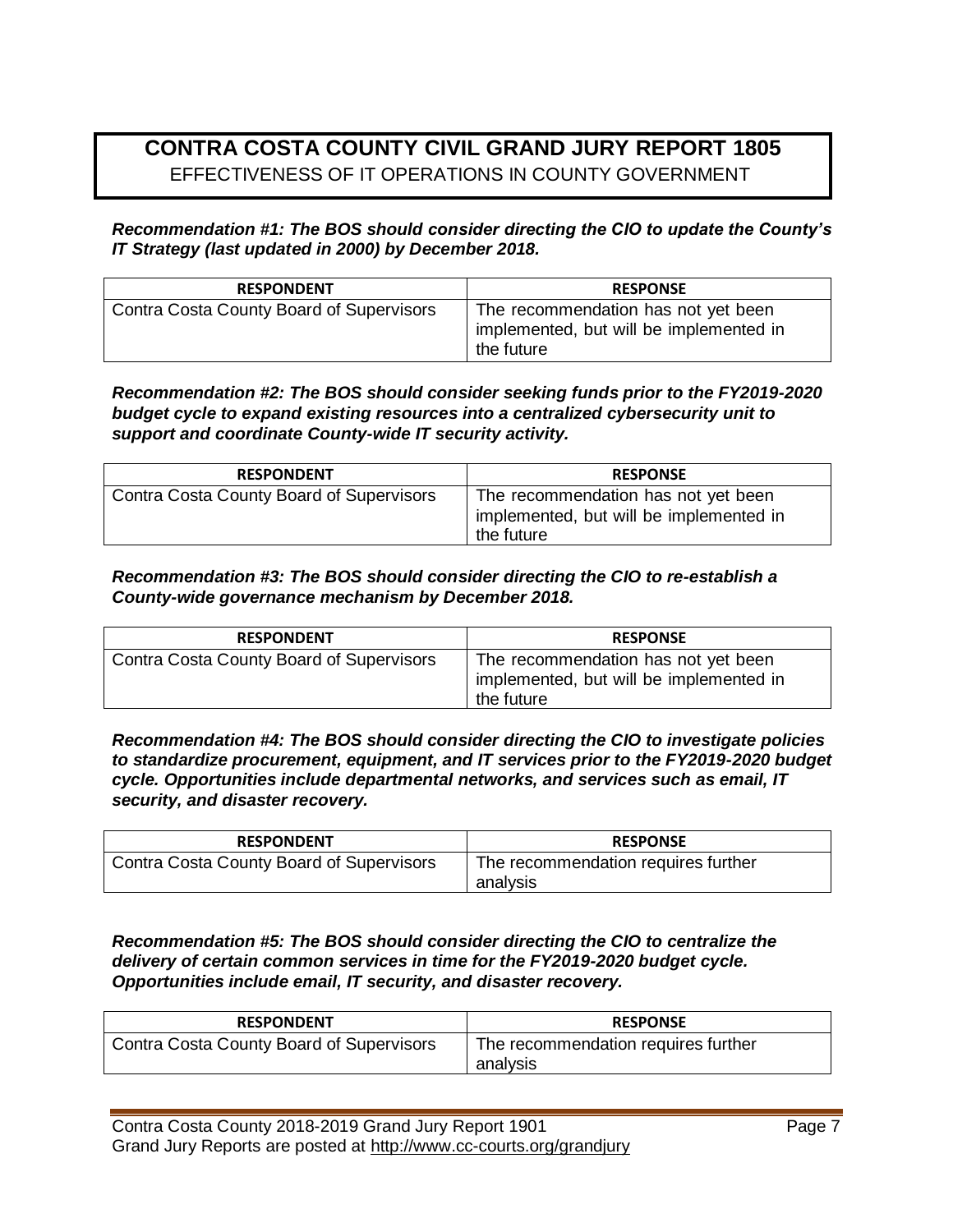# **CONTRA COSTA COUNTY CIVIL GRAND JURY REPORT 1805**  EFFECTIVENESS OF IT OPERATIONS IN COUNTY GOVERNMENT

*Recommendation #1: The BOS should consider directing the CIO to update the County's IT Strategy (last updated in 2000) by December 2018.* 

| <b>RESPONDENT</b>                        | <b>RESPONSE</b>                                                                              |
|------------------------------------------|----------------------------------------------------------------------------------------------|
| Contra Costa County Board of Supervisors | The recommendation has not yet been<br>implemented, but will be implemented in<br>the future |

*Recommendation #2: The BOS should consider seeking funds prior to the FY2019-2020 budget cycle to expand existing resources into a centralized cybersecurity unit to support and coordinate County-wide IT security activity.*

| <b>RESPONDENT</b>                        | <b>RESPONSE</b>                                                                              |
|------------------------------------------|----------------------------------------------------------------------------------------------|
| Contra Costa County Board of Supervisors | The recommendation has not yet been<br>implemented, but will be implemented in<br>the future |

*Recommendation #3: The BOS should consider directing the CIO to re-establish a County-wide governance mechanism by December 2018.* 

| <b>RESPONDENT</b>                        | <b>RESPONSE</b>                                                                              |
|------------------------------------------|----------------------------------------------------------------------------------------------|
| Contra Costa County Board of Supervisors | The recommendation has not yet been<br>implemented, but will be implemented in<br>the future |

*Recommendation #4: The BOS should consider directing the CIO to investigate policies to standardize procurement, equipment, and IT services prior to the FY2019-2020 budget cycle. Opportunities include departmental networks, and services such as email, IT security, and disaster recovery.* 

| <b>RESPONDENT</b>                        | <b>RESPONSE</b>                                 |
|------------------------------------------|-------------------------------------------------|
| Contra Costa County Board of Supervisors | The recommendation requires further<br>analysis |

*Recommendation #5: The BOS should consider directing the CIO to centralize the delivery of certain common services in time for the FY2019-2020 budget cycle. Opportunities include email, IT security, and disaster recovery.* 

| <b>RESPONDENT</b>                        | <b>RESPONSE</b>                                 |
|------------------------------------------|-------------------------------------------------|
| Contra Costa County Board of Supervisors | The recommendation requires further<br>analvsis |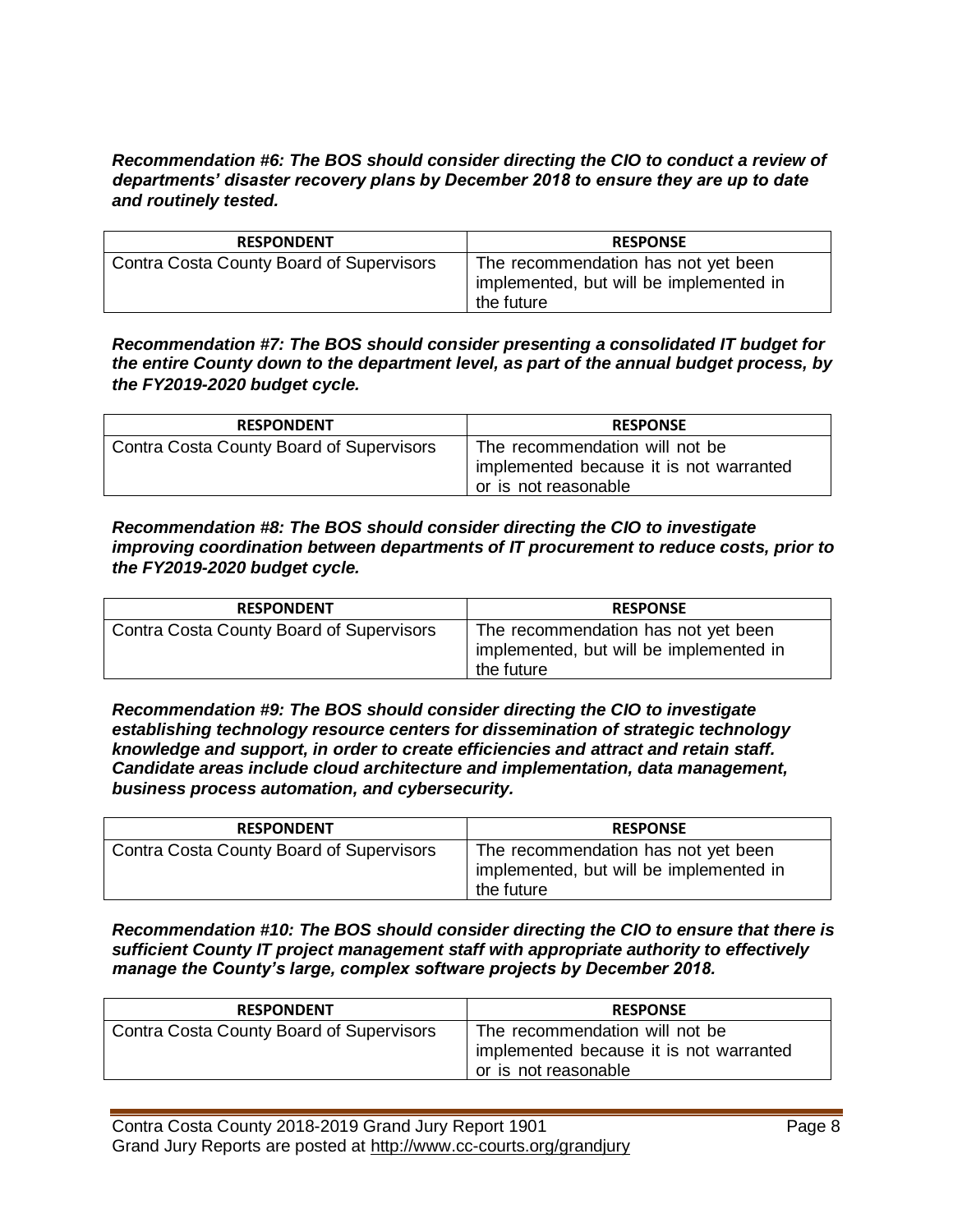### *Recommendation #6: The BOS should consider directing the CIO to conduct a review of departments' disaster recovery plans by December 2018 to ensure they are up to date and routinely tested.*

| <b>RESPONDENT</b>                        | <b>RESPONSE</b>                                                                              |
|------------------------------------------|----------------------------------------------------------------------------------------------|
| Contra Costa County Board of Supervisors | The recommendation has not yet been<br>implemented, but will be implemented in<br>the future |

*Recommendation #7: The BOS should consider presenting a consolidated IT budget for the entire County down to the department level, as part of the annual budget process, by the FY2019-2020 budget cycle.* 

| <b>RESPONDENT</b>                        | <b>RESPONSE</b>                         |
|------------------------------------------|-----------------------------------------|
| Contra Costa County Board of Supervisors | The recommendation will not be          |
|                                          | implemented because it is not warranted |
|                                          | or is not reasonable                    |

### *Recommendation #8: The BOS should consider directing the CIO to investigate improving coordination between departments of IT procurement to reduce costs, prior to the FY2019-2020 budget cycle.*

| <b>RESPONDENT</b>                        | <b>RESPONSE</b>                                                                              |
|------------------------------------------|----------------------------------------------------------------------------------------------|
| Contra Costa County Board of Supervisors | The recommendation has not yet been<br>implemented, but will be implemented in<br>the future |

#### *Recommendation #9: The BOS should consider directing the CIO to investigate establishing technology resource centers for dissemination of strategic technology knowledge and support, in order to create efficiencies and attract and retain staff. Candidate areas include cloud architecture and implementation, data management, business process automation, and cybersecurity.*

| <b>RESPONDENT</b>                        | <b>RESPONSE</b>                                                                              |
|------------------------------------------|----------------------------------------------------------------------------------------------|
| Contra Costa County Board of Supervisors | The recommendation has not yet been<br>implemented, but will be implemented in<br>the future |

*Recommendation #10: The BOS should consider directing the CIO to ensure that there is sufficient County IT project management staff with appropriate authority to effectively manage the County's large, complex software projects by December 2018.* 

| <b>RESPONDENT</b>                        | <b>RESPONSE</b>                                                                                   |
|------------------------------------------|---------------------------------------------------------------------------------------------------|
| Contra Costa County Board of Supervisors | The recommendation will not be<br>implemented because it is not warranted<br>or is not reasonable |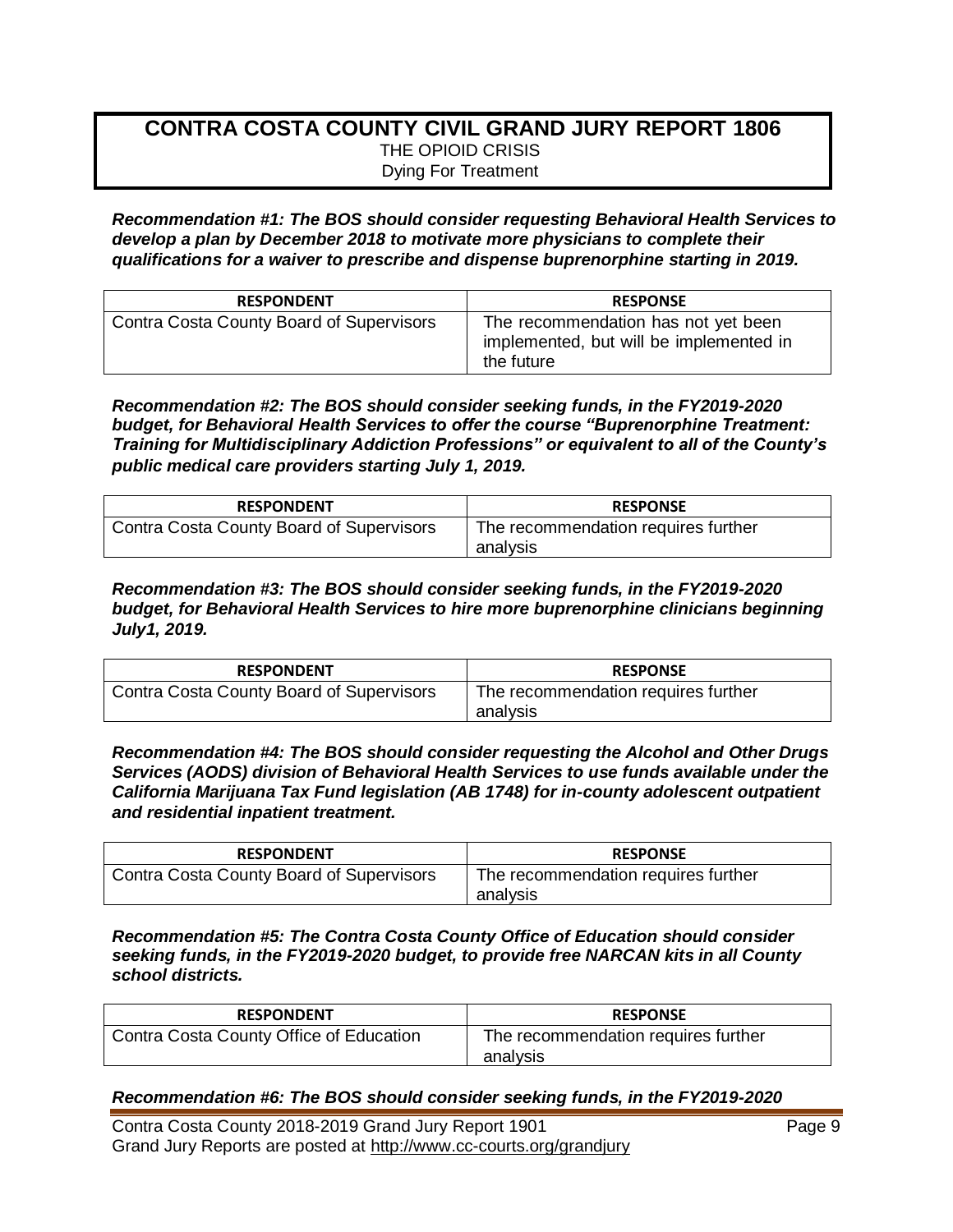# **CONTRA COSTA COUNTY CIVIL GRAND JURY REPORT 1806** THE OPIOID CRISIS Dying For Treatment

*Recommendation #1: The BOS should consider requesting Behavioral Health Services to develop a plan by December 2018 to motivate more physicians to complete their qualifications for a waiver to prescribe and dispense buprenorphine starting in 2019.* 

| <b>RESPONDENT</b>                        | <b>RESPONSE</b>                                                                              |
|------------------------------------------|----------------------------------------------------------------------------------------------|
| Contra Costa County Board of Supervisors | The recommendation has not yet been<br>implemented, but will be implemented in<br>the future |

*Recommendation #2: The BOS should consider seeking funds, in the FY2019-2020 budget, for Behavioral Health Services to offer the course "Buprenorphine Treatment: Training for Multidisciplinary Addiction Professions" or equivalent to all of the County's public medical care providers starting July 1, 2019.*

| <b>RESPONDENT</b>                               | <b>RESPONSE</b>                                 |
|-------------------------------------------------|-------------------------------------------------|
| <b>Contra Costa County Board of Supervisors</b> | The recommendation requires further<br>analvsis |

*Recommendation #3: The BOS should consider seeking funds, in the FY2019-2020 budget, for Behavioral Health Services to hire more buprenorphine clinicians beginning July1, 2019.* 

| <b>RESPONDENT</b>                               | <b>RESPONSE</b>                                 |
|-------------------------------------------------|-------------------------------------------------|
| <b>Contra Costa County Board of Supervisors</b> | The recommendation requires further<br>analysis |

*Recommendation #4: The BOS should consider requesting the Alcohol and Other Drugs Services (AODS) division of Behavioral Health Services to use funds available under the California Marijuana Tax Fund legislation (AB 1748) for in-county adolescent outpatient and residential inpatient treatment.* 

| <b>RESPONDENT</b>                        | <b>RESPONSE</b>                                 |
|------------------------------------------|-------------------------------------------------|
| Contra Costa County Board of Supervisors | The recommendation requires further<br>analysis |

*Recommendation #5: The Contra Costa County Office of Education should consider seeking funds, in the FY2019-2020 budget, to provide free NARCAN kits in all County school districts.* 

| <b>RESPONDENT</b>                       | <b>RESPONSE</b>                                 |
|-----------------------------------------|-------------------------------------------------|
| Contra Costa County Office of Education | The recommendation requires further<br>analysis |

### *Recommendation #6: The BOS should consider seeking funds, in the FY2019-2020*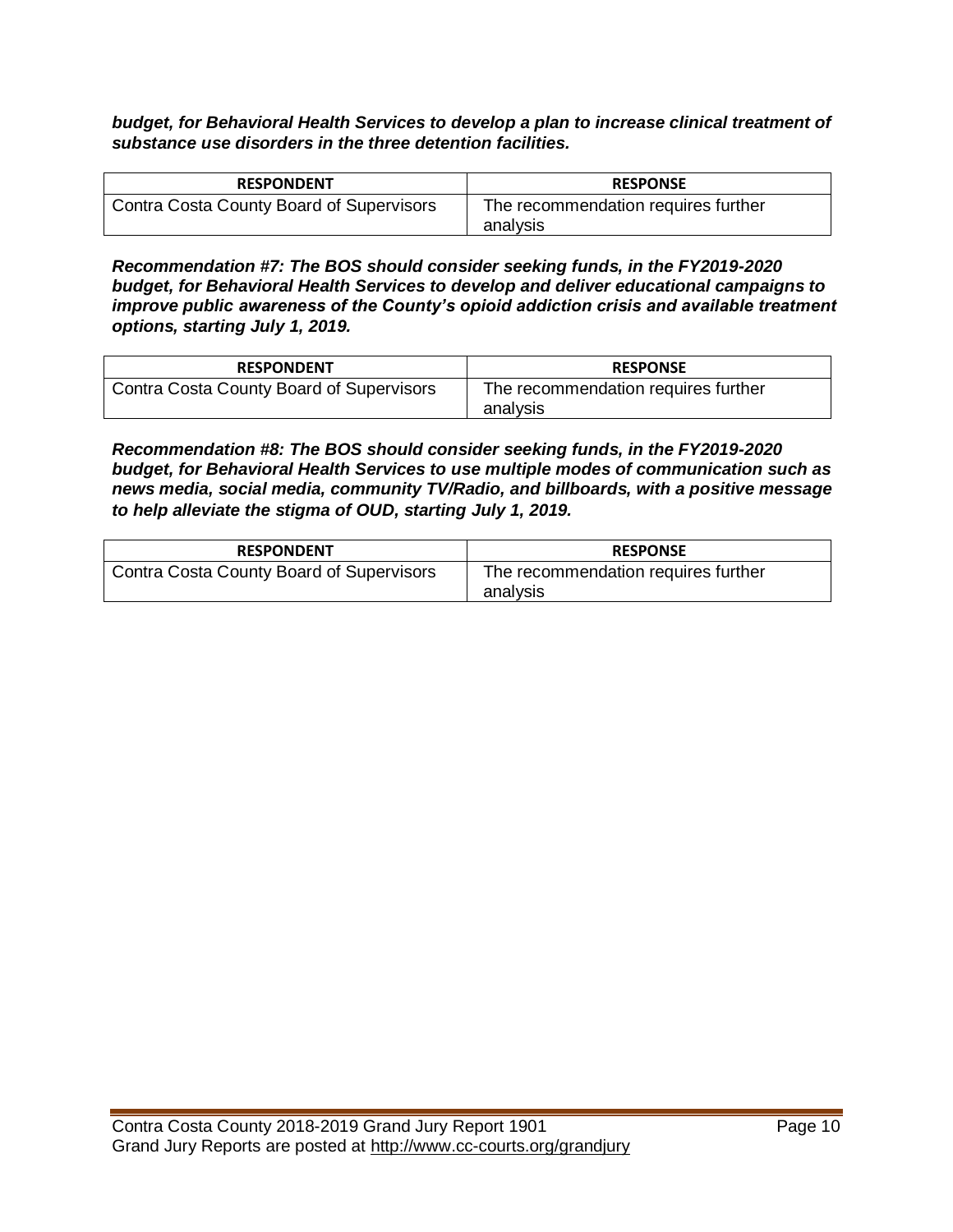*budget, for Behavioral Health Services to develop a plan to increase clinical treatment of substance use disorders in the three detention facilities.* 

| <b>RESPONDENT</b>                        | <b>RESPONSE</b>                                 |
|------------------------------------------|-------------------------------------------------|
| Contra Costa County Board of Supervisors | The recommendation requires further<br>analysis |

*Recommendation #7: The BOS should consider seeking funds, in the FY2019-2020 budget, for Behavioral Health Services to develop and deliver educational campaigns to improve public awareness of the County's opioid addiction crisis and available treatment options, starting July 1, 2019.* 

| <b>RESPONDENT</b>                        | <b>RESPONSE</b>                                 |
|------------------------------------------|-------------------------------------------------|
| Contra Costa County Board of Supervisors | The recommendation requires further<br>analysis |

*Recommendation #8: The BOS should consider seeking funds, in the FY2019-2020 budget, for Behavioral Health Services to use multiple modes of communication such as news media, social media, community TV/Radio, and billboards, with a positive message to help alleviate the stigma of OUD, starting July 1, 2019.* 

| <b>RESPONDENT</b>                        | <b>RESPONSE</b>                                 |
|------------------------------------------|-------------------------------------------------|
| Contra Costa County Board of Supervisors | The recommendation requires further<br>analysis |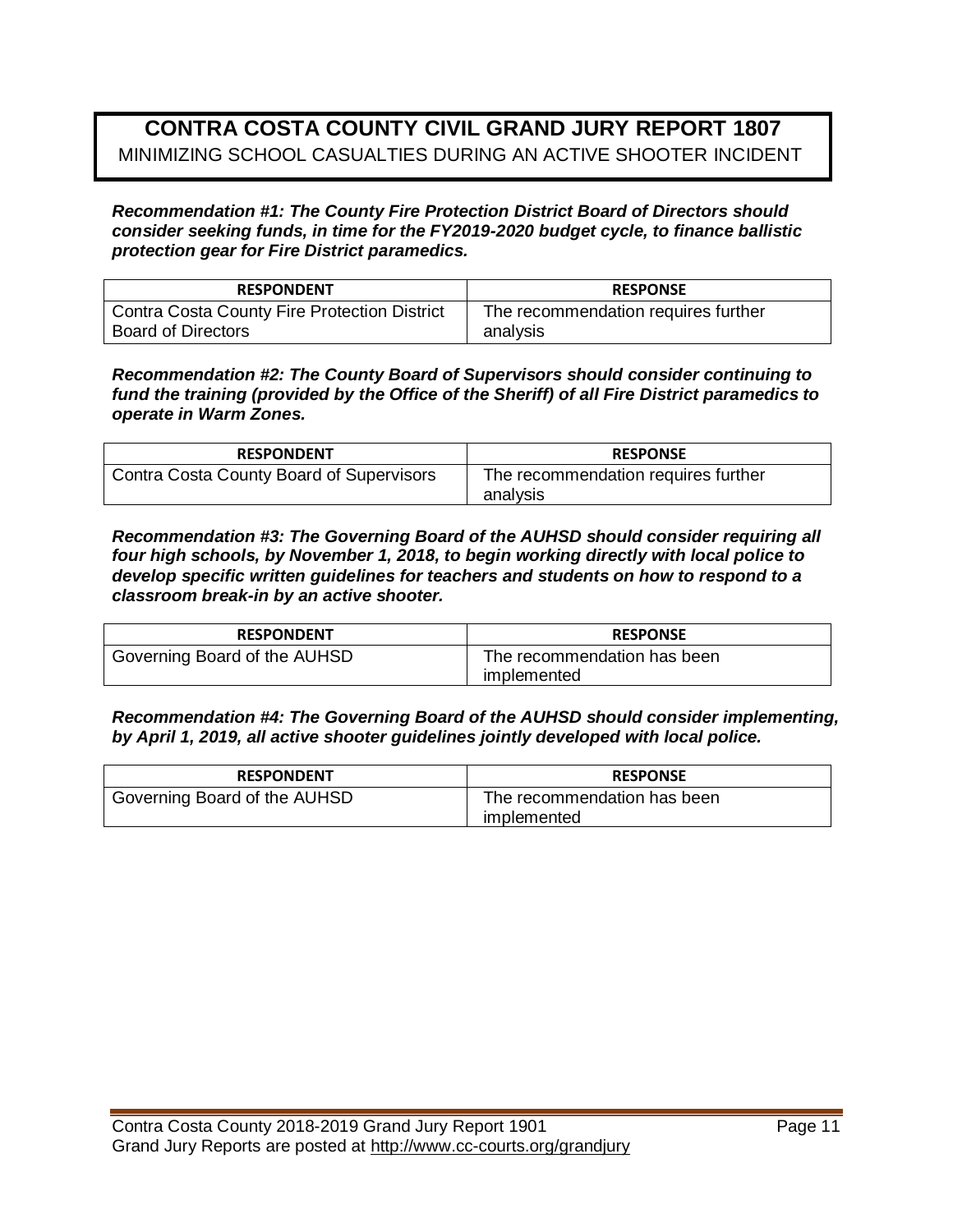# **CONTRA COSTA COUNTY CIVIL GRAND JURY REPORT 1807** MINIMIZING SCHOOL CASUALTIES DURING AN ACTIVE SHOOTER INCIDENT

*Recommendation #1: The County Fire Protection District Board of Directors should consider seeking funds, in time for the FY2019-2020 budget cycle, to finance ballistic protection gear for Fire District paramedics.* 

| <b>RESPONDENT</b>                                   | <b>RESPONSE</b>                     |
|-----------------------------------------------------|-------------------------------------|
| <b>Contra Costa County Fire Protection District</b> | The recommendation requires further |
| <b>Board of Directors</b>                           | analysis                            |

*Recommendation #2: The County Board of Supervisors should consider continuing to fund the training (provided by the Office of the Sheriff) of all Fire District paramedics to operate in Warm Zones.* 

| <b>RESPONDENT</b>                               | <b>RESPONSE</b>                                 |
|-------------------------------------------------|-------------------------------------------------|
| <b>Contra Costa County Board of Supervisors</b> | The recommendation requires further<br>analysis |

*Recommendation #3: The Governing Board of the AUHSD should consider requiring all four high schools, by November 1, 2018, to begin working directly with local police to develop specific written guidelines for teachers and students on how to respond to a classroom break-in by an active shooter.* 

| <b>RESPONDENT</b>            | <b>RESPONSE</b>                            |
|------------------------------|--------------------------------------------|
| Governing Board of the AUHSD | The recommendation has been<br>implemented |

*Recommendation #4: The Governing Board of the AUHSD should consider implementing, by April 1, 2019, all active shooter guidelines jointly developed with local police.* 

| <b>RESPONDENT</b>            | <b>RESPONSE</b>                            |
|------------------------------|--------------------------------------------|
| Governing Board of the AUHSD | The recommendation has been<br>implemented |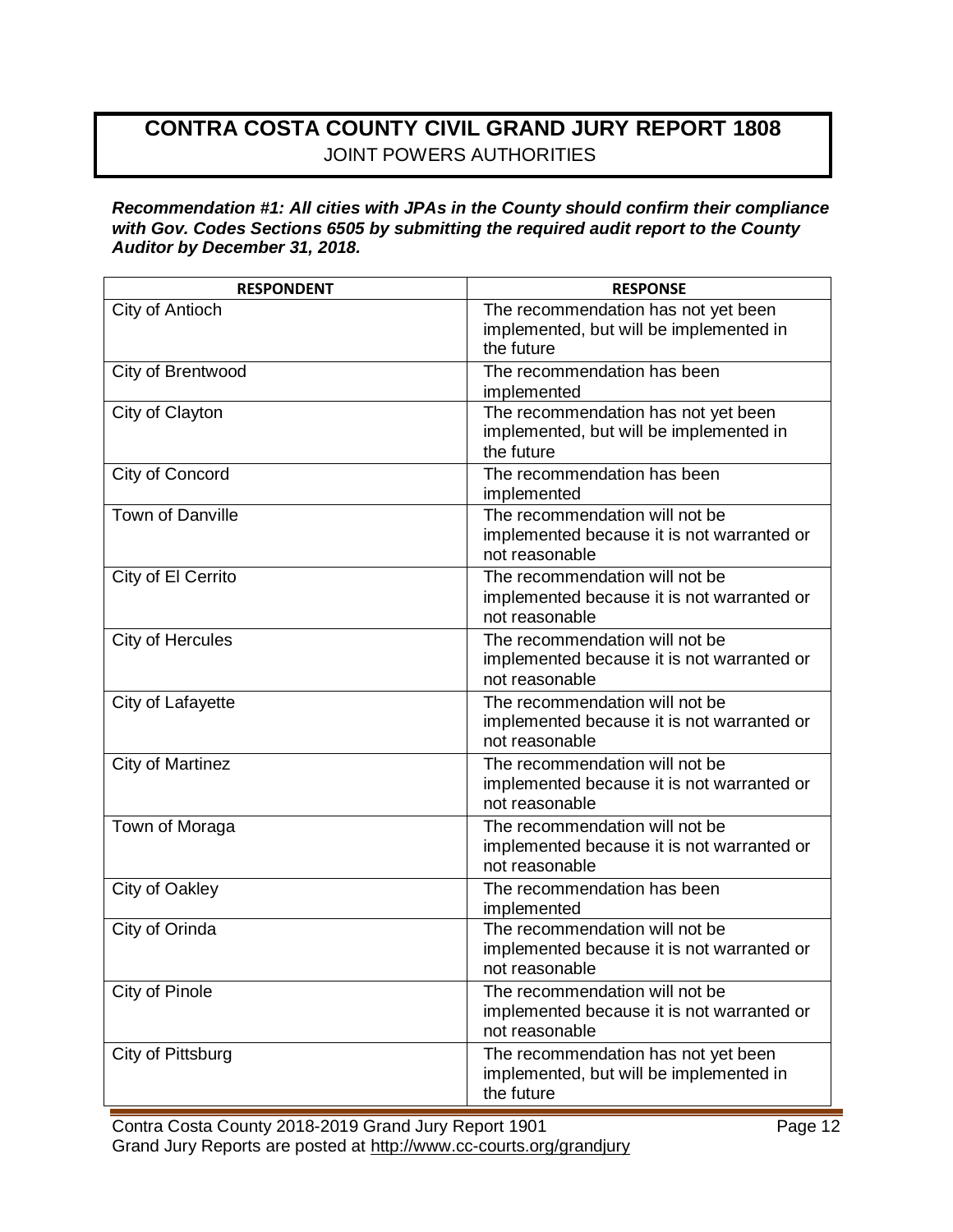# **CONTRA COSTA COUNTY CIVIL GRAND JURY REPORT 1808** JOINT POWERS AUTHORITIES

#### *Recommendation #1: All cities with JPAs in the County should confirm their compliance with Gov. Codes Sections 6505 by submitting the required audit report to the County Auditor by December 31, 2018.*

| <b>RESPONDENT</b>       | <b>RESPONSE</b>                                                                                |
|-------------------------|------------------------------------------------------------------------------------------------|
| City of Antioch         | The recommendation has not yet been<br>implemented, but will be implemented in<br>the future   |
| City of Brentwood       | The recommendation has been<br>implemented                                                     |
| City of Clayton         | The recommendation has not yet been<br>implemented, but will be implemented in<br>the future   |
| City of Concord         | The recommendation has been<br>implemented                                                     |
| <b>Town of Danville</b> | The recommendation will not be<br>implemented because it is not warranted or<br>not reasonable |
| City of El Cerrito      | The recommendation will not be<br>implemented because it is not warranted or<br>not reasonable |
| City of Hercules        | The recommendation will not be<br>implemented because it is not warranted or<br>not reasonable |
| City of Lafayette       | The recommendation will not be<br>implemented because it is not warranted or<br>not reasonable |
| City of Martinez        | The recommendation will not be<br>implemented because it is not warranted or<br>not reasonable |
| Town of Moraga          | The recommendation will not be<br>implemented because it is not warranted or<br>not reasonable |
| City of Oakley          | The recommendation has been<br>implemented                                                     |
| City of Orinda          | The recommendation will not be<br>implemented because it is not warranted or<br>not reasonable |
| City of Pinole          | The recommendation will not be<br>implemented because it is not warranted or<br>not reasonable |
| City of Pittsburg       | The recommendation has not yet been<br>implemented, but will be implemented in<br>the future   |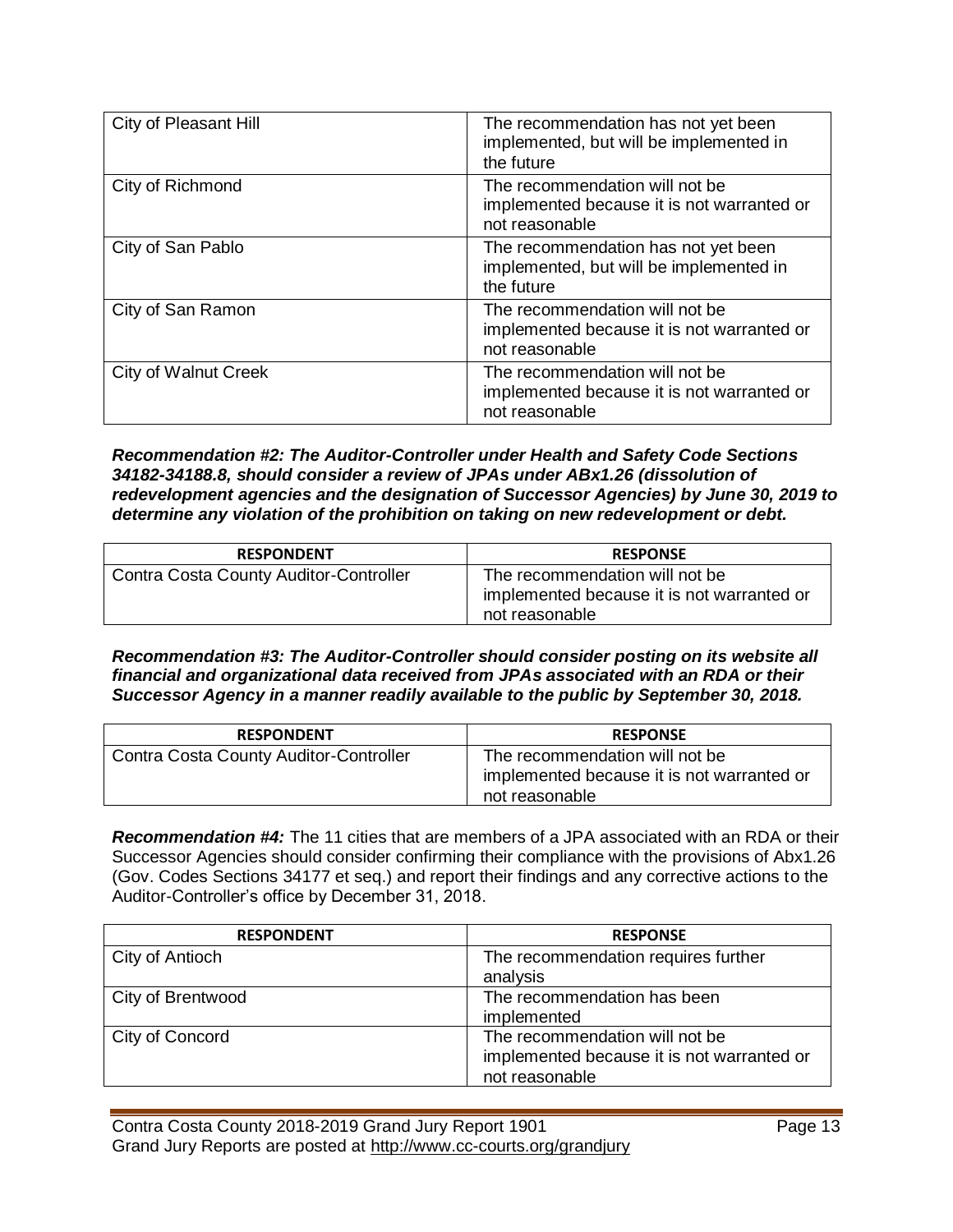| City of Pleasant Hill | The recommendation has not yet been<br>implemented, but will be implemented in<br>the future   |
|-----------------------|------------------------------------------------------------------------------------------------|
| City of Richmond      | The recommendation will not be<br>implemented because it is not warranted or<br>not reasonable |
| City of San Pablo     | The recommendation has not yet been<br>implemented, but will be implemented in<br>the future   |
| City of San Ramon     | The recommendation will not be<br>implemented because it is not warranted or<br>not reasonable |
| City of Walnut Creek  | The recommendation will not be<br>implemented because it is not warranted or<br>not reasonable |

*Recommendation #2: The Auditor-Controller under Health and Safety Code Sections 34182-34188.8, should consider a review of JPAs under ABx1.26 (dissolution of redevelopment agencies and the designation of Successor Agencies) by June 30, 2019 to determine any violation of the prohibition on taking on new redevelopment or debt.* 

| <b>RESPONDENT</b>                             | <b>RESPONSE</b>                                                                                |
|-----------------------------------------------|------------------------------------------------------------------------------------------------|
| <b>Contra Costa County Auditor-Controller</b> | The recommendation will not be<br>implemented because it is not warranted or<br>not reasonable |

*Recommendation #3: The Auditor-Controller should consider posting on its website all financial and organizational data received from JPAs associated with an RDA or their Successor Agency in a manner readily available to the public by September 30, 2018.* 

| <b>RESPONDENT</b>                             | <b>RESPONSE</b>                                                                                |
|-----------------------------------------------|------------------------------------------------------------------------------------------------|
| <b>Contra Costa County Auditor-Controller</b> | The recommendation will not be<br>implemented because it is not warranted or<br>not reasonable |

*Recommendation #4:* The 11 cities that are members of a JPA associated with an RDA or their Successor Agencies should consider confirming their compliance with the provisions of Abx1.26 (Gov. Codes Sections 34177 et seq.) and report their findings and any corrective actions to the Auditor-Controller's office by December 31, 2018.

| <b>RESPONDENT</b> | <b>RESPONSE</b>                            |
|-------------------|--------------------------------------------|
| City of Antioch   | The recommendation requires further        |
|                   | analysis                                   |
| City of Brentwood | The recommendation has been                |
|                   | implemented                                |
| City of Concord   | The recommendation will not be             |
|                   | implemented because it is not warranted or |
|                   | not reasonable                             |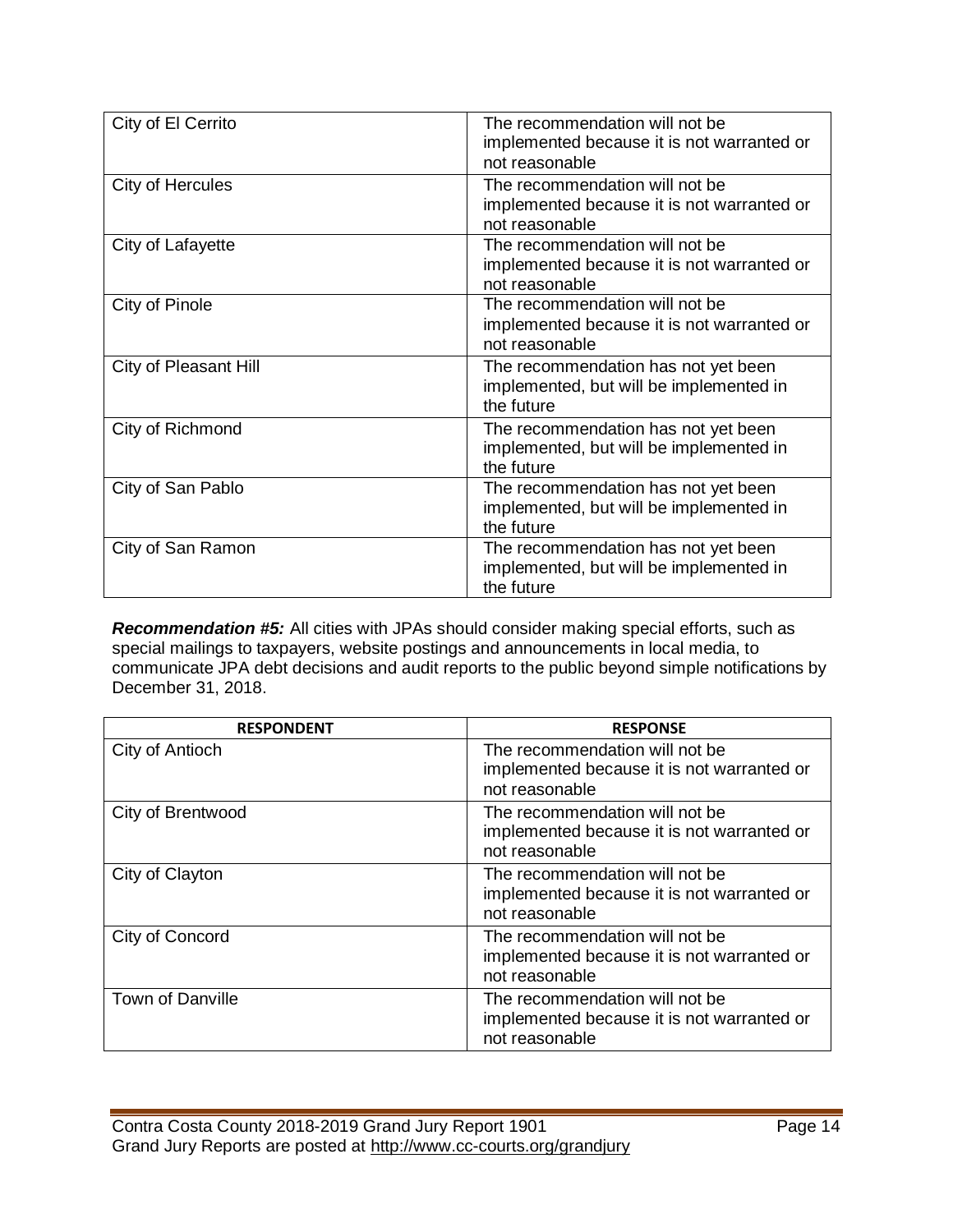| City of El Cerrito    | The recommendation will not be                                                                 |
|-----------------------|------------------------------------------------------------------------------------------------|
|                       | implemented because it is not warranted or<br>not reasonable                                   |
| City of Hercules      | The recommendation will not be<br>implemented because it is not warranted or<br>not reasonable |
| City of Lafayette     | The recommendation will not be<br>implemented because it is not warranted or<br>not reasonable |
| City of Pinole        | The recommendation will not be<br>implemented because it is not warranted or<br>not reasonable |
| City of Pleasant Hill | The recommendation has not yet been<br>implemented, but will be implemented in<br>the future   |
| City of Richmond      | The recommendation has not yet been<br>implemented, but will be implemented in<br>the future   |
| City of San Pablo     | The recommendation has not yet been<br>implemented, but will be implemented in<br>the future   |
| City of San Ramon     | The recommendation has not yet been<br>implemented, but will be implemented in<br>the future   |

*Recommendation #5:* All cities with JPAs should consider making special efforts, such as special mailings to taxpayers, website postings and announcements in local media, to communicate JPA debt decisions and audit reports to the public beyond simple notifications by December 31, 2018.

| <b>RESPONDENT</b>       | <b>RESPONSE</b>                                                                                |
|-------------------------|------------------------------------------------------------------------------------------------|
| City of Antioch         | The recommendation will not be<br>implemented because it is not warranted or<br>not reasonable |
| City of Brentwood       | The recommendation will not be<br>implemented because it is not warranted or<br>not reasonable |
| City of Clayton         | The recommendation will not be<br>implemented because it is not warranted or<br>not reasonable |
| City of Concord         | The recommendation will not be<br>implemented because it is not warranted or<br>not reasonable |
| <b>Town of Danville</b> | The recommendation will not be<br>implemented because it is not warranted or<br>not reasonable |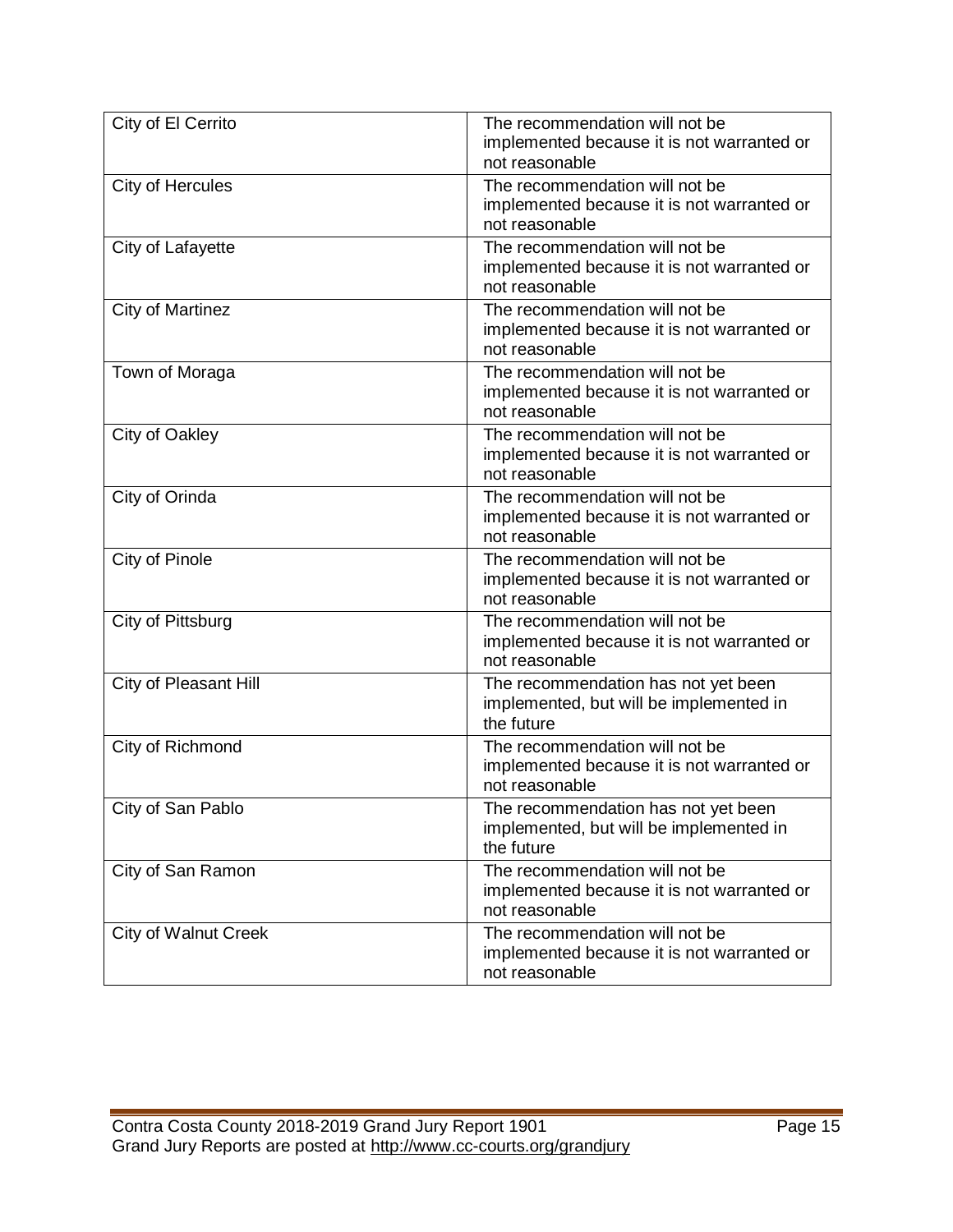| City of El Cerrito          | The recommendation will not be<br>implemented because it is not warranted or<br>not reasonable |
|-----------------------------|------------------------------------------------------------------------------------------------|
| City of Hercules            | The recommendation will not be<br>implemented because it is not warranted or<br>not reasonable |
| City of Lafayette           | The recommendation will not be<br>implemented because it is not warranted or<br>not reasonable |
| City of Martinez            | The recommendation will not be<br>implemented because it is not warranted or<br>not reasonable |
| Town of Moraga              | The recommendation will not be<br>implemented because it is not warranted or<br>not reasonable |
| City of Oakley              | The recommendation will not be<br>implemented because it is not warranted or<br>not reasonable |
| City of Orinda              | The recommendation will not be<br>implemented because it is not warranted or<br>not reasonable |
| City of Pinole              | The recommendation will not be<br>implemented because it is not warranted or<br>not reasonable |
| City of Pittsburg           | The recommendation will not be<br>implemented because it is not warranted or<br>not reasonable |
| City of Pleasant Hill       | The recommendation has not yet been<br>implemented, but will be implemented in<br>the future   |
| City of Richmond            | The recommendation will not be<br>implemented because it is not warranted or<br>not reasonable |
| City of San Pablo           | The recommendation has not yet been<br>implemented, but will be implemented in<br>the future   |
| City of San Ramon           | The recommendation will not be<br>implemented because it is not warranted or<br>not reasonable |
| <b>City of Walnut Creek</b> | The recommendation will not be<br>implemented because it is not warranted or<br>not reasonable |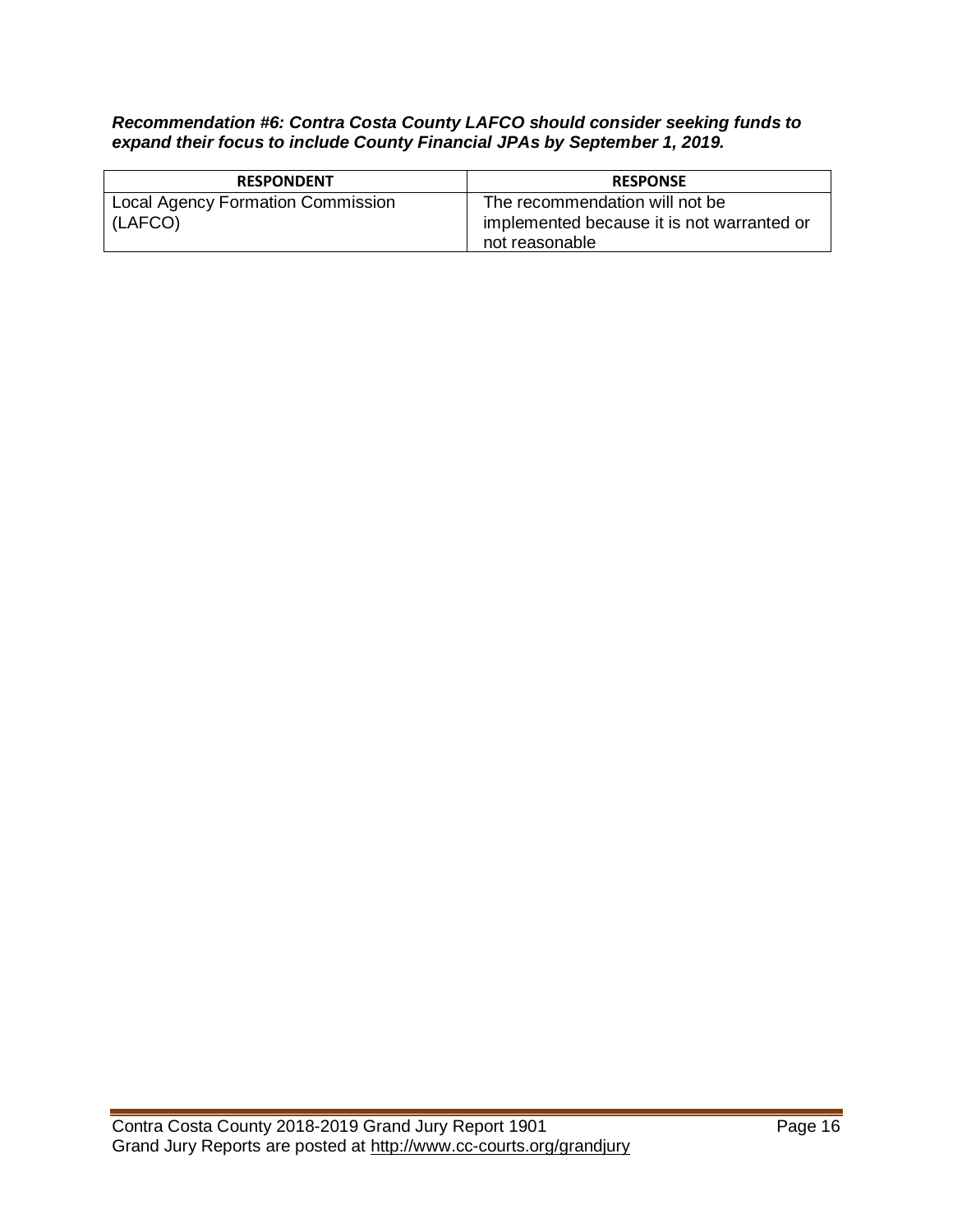## *Recommendation #6: Contra Costa County LAFCO should consider seeking funds to expand their focus to include County Financial JPAs by September 1, 2019.*

| <b>RESPONDENT</b>                                   | <b>RESPONSE</b>                                                                                |
|-----------------------------------------------------|------------------------------------------------------------------------------------------------|
| <b>Local Agency Formation Commission</b><br>(LAFCO) | The recommendation will not be<br>implemented because it is not warranted or<br>not reasonable |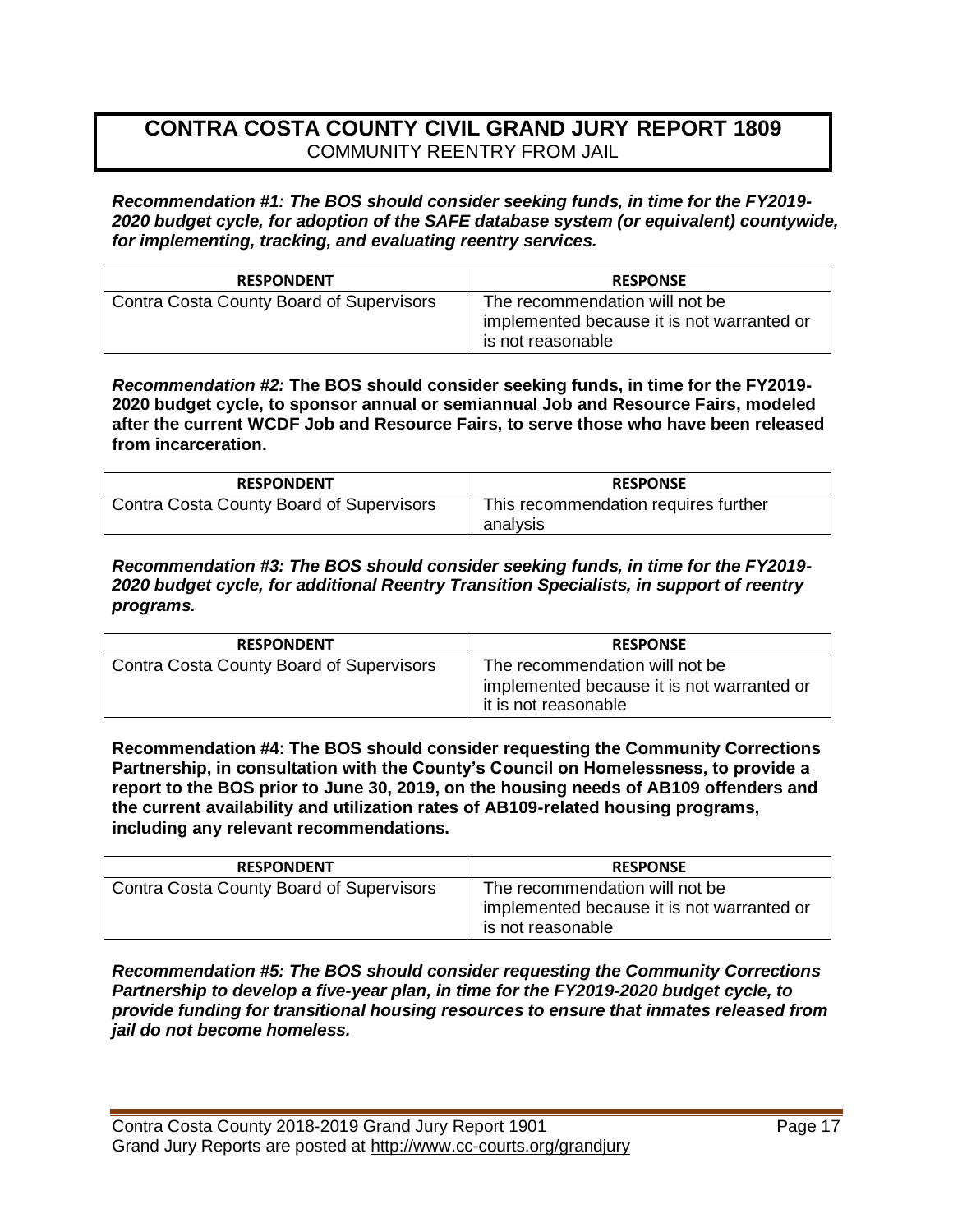# **CONTRA COSTA COUNTY CIVIL GRAND JURY REPORT 1809**  COMMUNITY REENTRY FROM JAIL

*Recommendation #1: The BOS should consider seeking funds, in time for the FY2019- 2020 budget cycle, for adoption of the SAFE database system (or equivalent) countywide, for implementing, tracking, and evaluating reentry services.* 

| <b>RESPONDENT</b>                        | <b>RESPONSE</b>                                                                                   |
|------------------------------------------|---------------------------------------------------------------------------------------------------|
| Contra Costa County Board of Supervisors | The recommendation will not be<br>implemented because it is not warranted or<br>is not reasonable |

*Recommendation #2:* **The BOS should consider seeking funds, in time for the FY2019- 2020 budget cycle, to sponsor annual or semiannual Job and Resource Fairs, modeled after the current WCDF Job and Resource Fairs, to serve those who have been released from incarceration.** 

| <b>RESPONDENT</b>                        | <b>RESPONSE</b>                                  |
|------------------------------------------|--------------------------------------------------|
| Contra Costa County Board of Supervisors | This recommendation requires further<br>analysis |

*Recommendation #3: The BOS should consider seeking funds, in time for the FY2019- 2020 budget cycle, for additional Reentry Transition Specialists, in support of reentry programs.* 

| <b>RESPONDENT</b>                        | <b>RESPONSE</b>                                                                                      |
|------------------------------------------|------------------------------------------------------------------------------------------------------|
| Contra Costa County Board of Supervisors | The recommendation will not be<br>implemented because it is not warranted or<br>it is not reasonable |

**Recommendation #4: The BOS should consider requesting the Community Corrections Partnership, in consultation with the County's Council on Homelessness, to provide a report to the BOS prior to June 30, 2019, on the housing needs of AB109 offenders and the current availability and utilization rates of AB109-related housing programs, including any relevant recommendations.**

| <b>RESPONDENT</b>                        | <b>RESPONSE</b>                                                                                   |
|------------------------------------------|---------------------------------------------------------------------------------------------------|
| Contra Costa County Board of Supervisors | The recommendation will not be<br>implemented because it is not warranted or<br>is not reasonable |

*Recommendation #5: The BOS should consider requesting the Community Corrections Partnership to develop a five-year plan, in time for the FY2019-2020 budget cycle, to provide funding for transitional housing resources to ensure that inmates released from jail do not become homeless.*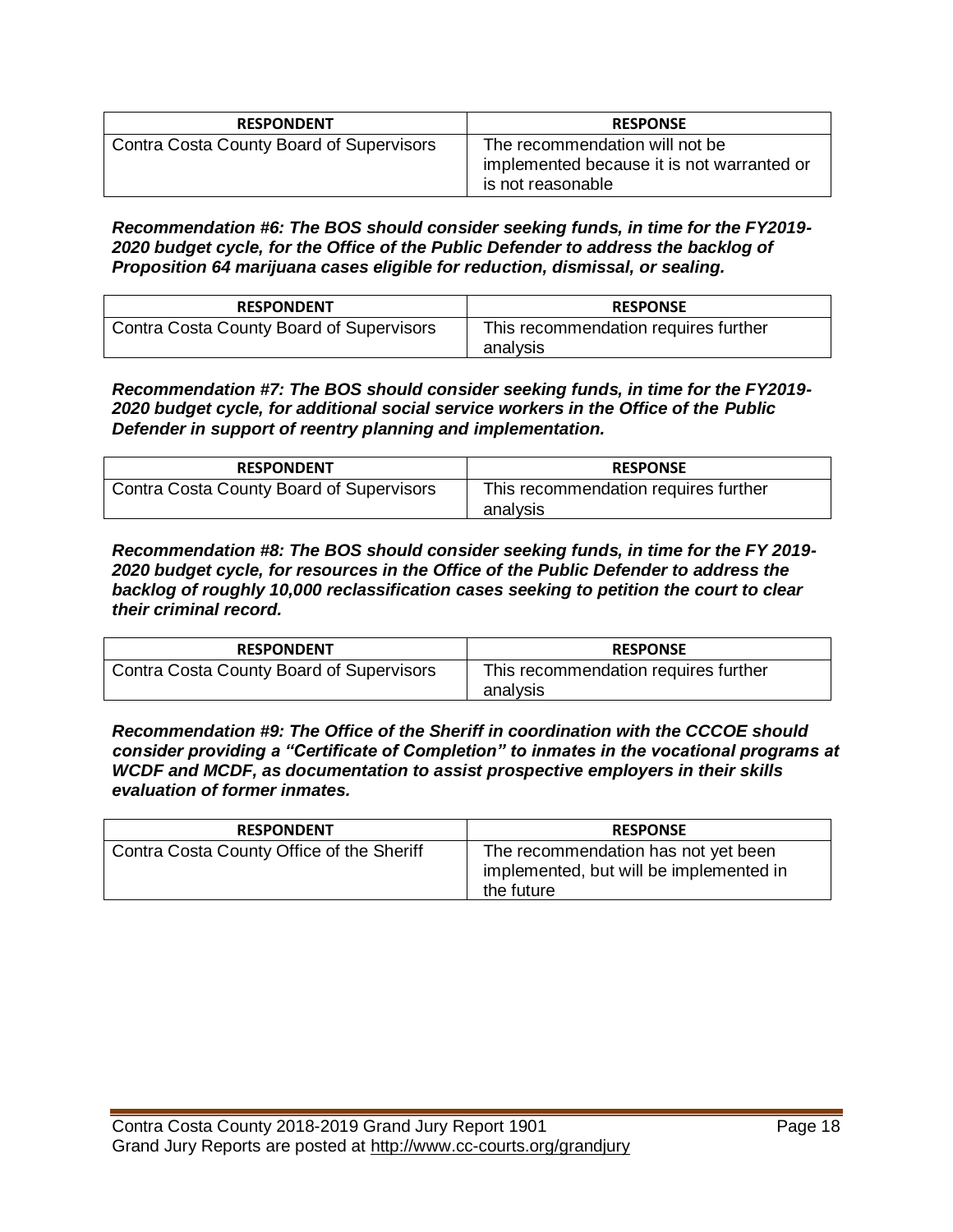| <b>RESPONDENT</b>                               | <b>RESPONSE</b>                                                                                   |
|-------------------------------------------------|---------------------------------------------------------------------------------------------------|
| <b>Contra Costa County Board of Supervisors</b> | The recommendation will not be<br>implemented because it is not warranted or<br>is not reasonable |

*Recommendation #6: The BOS should consider seeking funds, in time for the FY2019- 2020 budget cycle, for the Office of the Public Defender to address the backlog of Proposition 64 marijuana cases eligible for reduction, dismissal, or sealing.* 

| <b>RESPONDENT</b>                               | <b>RESPONSE</b>                                  |
|-------------------------------------------------|--------------------------------------------------|
| <b>Contra Costa County Board of Supervisors</b> | This recommendation requires further<br>analysis |

*Recommendation #7: The BOS should consider seeking funds, in time for the FY2019- 2020 budget cycle, for additional social service workers in the Office of the Public Defender in support of reentry planning and implementation.* 

| <b>RESPONDENT</b>                        | <b>RESPONSE</b>                                  |
|------------------------------------------|--------------------------------------------------|
| Contra Costa County Board of Supervisors | This recommendation requires further<br>analysis |

*Recommendation #8: The BOS should consider seeking funds, in time for the FY 2019- 2020 budget cycle, for resources in the Office of the Public Defender to address the backlog of roughly 10,000 reclassification cases seeking to petition the court to clear their criminal record.* 

| <b>RESPONDENT</b>                        | <b>RESPONSE</b>                                  |
|------------------------------------------|--------------------------------------------------|
| Contra Costa County Board of Supervisors | This recommendation requires further<br>analysis |

*Recommendation #9: The Office of the Sheriff in coordination with the CCCOE should consider providing a "Certificate of Completion" to inmates in the vocational programs at WCDF and MCDF, as documentation to assist prospective employers in their skills evaluation of former inmates.* 

| <b>RESPONDENT</b>                         | <b>RESPONSE</b>                                                                              |
|-------------------------------------------|----------------------------------------------------------------------------------------------|
| Contra Costa County Office of the Sheriff | The recommendation has not yet been<br>implemented, but will be implemented in<br>the future |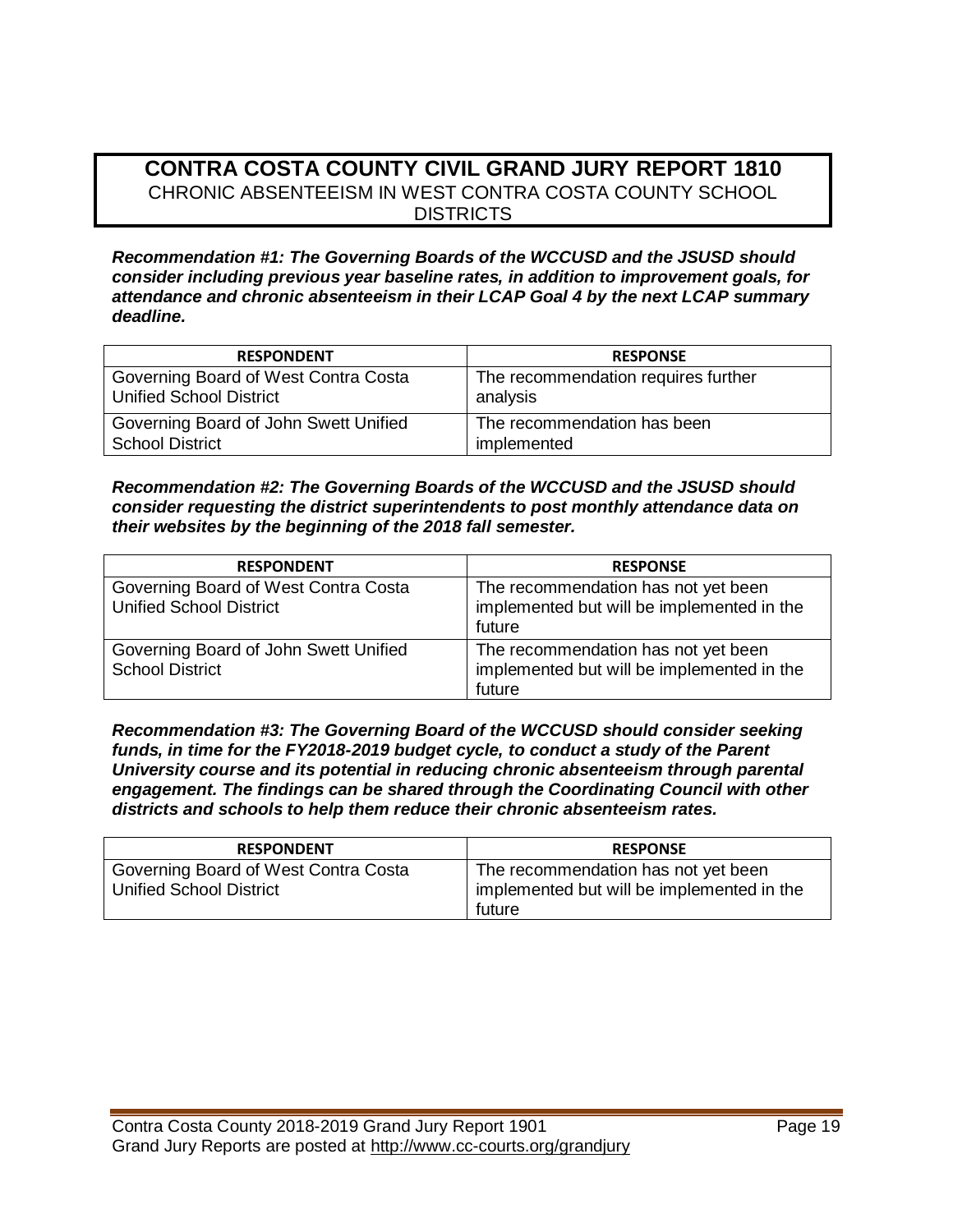## **CONTRA COSTA COUNTY CIVIL GRAND JURY REPORT 1810**  CHRONIC ABSENTEEISM IN WEST CONTRA COSTA COUNTY SCHOOL **DISTRICTS**

*Recommendation #1: The Governing Boards of the WCCUSD and the JSUSD should consider including previous year baseline rates, in addition to improvement goals, for attendance and chronic absenteeism in their LCAP Goal 4 by the next LCAP summary deadline.* 

| <b>RESPONDENT</b>                     | <b>RESPONSE</b>                     |
|---------------------------------------|-------------------------------------|
| Governing Board of West Contra Costa  | The recommendation requires further |
| <b>Unified School District</b>        | analysis                            |
| Governing Board of John Swett Unified | The recommendation has been         |
| <b>School District</b>                | implemented                         |

*Recommendation #2: The Governing Boards of the WCCUSD and the JSUSD should consider requesting the district superintendents to post monthly attendance data on their websites by the beginning of the 2018 fall semester.* 

| <b>RESPONDENT</b>                                                      | <b>RESPONSE</b>                                                                             |
|------------------------------------------------------------------------|---------------------------------------------------------------------------------------------|
| Governing Board of West Contra Costa<br><b>Unified School District</b> | The recommendation has not yet been<br>implemented but will be implemented in the<br>future |
| Governing Board of John Swett Unified<br><b>School District</b>        | The recommendation has not yet been<br>implemented but will be implemented in the<br>future |

*Recommendation #3: The Governing Board of the WCCUSD should consider seeking funds, in time for the FY2018-2019 budget cycle, to conduct a study of the Parent University course and its potential in reducing chronic absenteeism through parental engagement. The findings can be shared through the Coordinating Council with other districts and schools to help them reduce their chronic absenteeism rates.* 

| <b>RESPONDENT</b>                                                      | <b>RESPONSE</b>                                                                             |
|------------------------------------------------------------------------|---------------------------------------------------------------------------------------------|
| Governing Board of West Contra Costa<br><b>Unified School District</b> | The recommendation has not yet been<br>implemented but will be implemented in the<br>future |